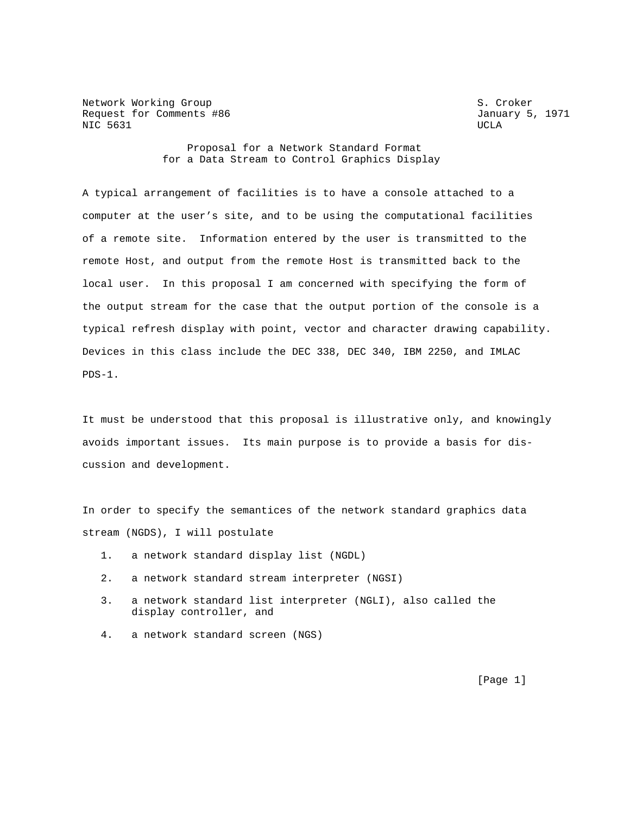Network Working Group<br>Request for Comments #86 Section Section Section S. Croker<br>
January 5, 1971 Request for Comments #86 NIC 5631 UCLA

 Proposal for a Network Standard Format for a Data Stream to Control Graphics Display

A typical arrangement of facilities is to have a console attached to a computer at the user's site, and to be using the computational facilities of a remote site. Information entered by the user is transmitted to the remote Host, and output from the remote Host is transmitted back to the local user. In this proposal I am concerned with specifying the form of the output stream for the case that the output portion of the console is a typical refresh display with point, vector and character drawing capability. Devices in this class include the DEC 338, DEC 340, IBM 2250, and IMLAC PDS-1.

It must be understood that this proposal is illustrative only, and knowingly avoids important issues. Its main purpose is to provide a basis for discussion and development.

In order to specify the semantices of the network standard graphics data stream (NGDS), I will postulate

- 1. a network standard display list (NGDL)
- 2. a network standard stream interpreter (NGSI)
- 3. a network standard list interpreter (NGLI), also called the display controller, and
- 4. a network standard screen (NGS)

[Page 1]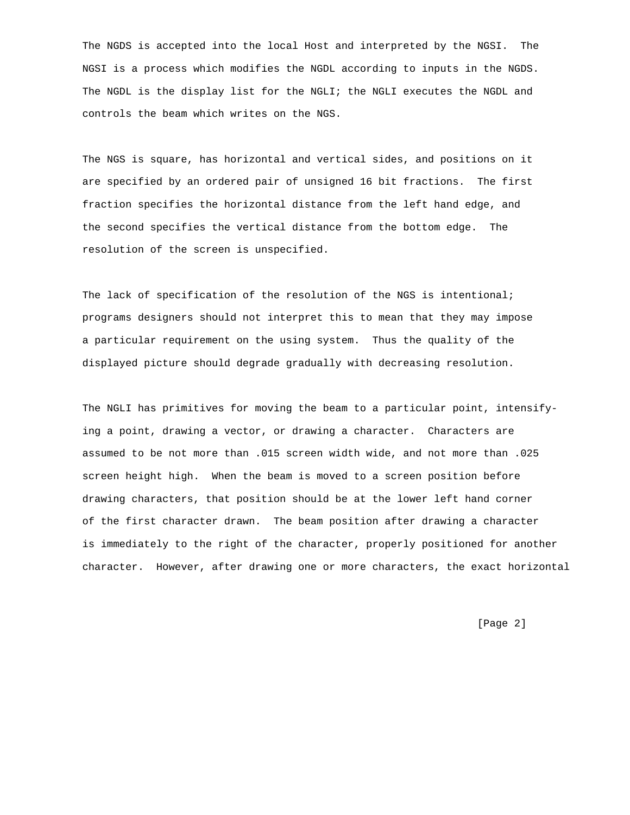The NGDS is accepted into the local Host and interpreted by the NGSI. The NGSI is a process which modifies the NGDL according to inputs in the NGDS. The NGDL is the display list for the NGLI; the NGLI executes the NGDL and controls the beam which writes on the NGS.

The NGS is square, has horizontal and vertical sides, and positions on it are specified by an ordered pair of unsigned 16 bit fractions. The first fraction specifies the horizontal distance from the left hand edge, and the second specifies the vertical distance from the bottom edge. The resolution of the screen is unspecified.

The lack of specification of the resolution of the NGS is intentional; programs designers should not interpret this to mean that they may impose a particular requirement on the using system. Thus the quality of the displayed picture should degrade gradually with decreasing resolution.

The NGLI has primitives for moving the beam to a particular point, intensifying a point, drawing a vector, or drawing a character. Characters are assumed to be not more than .015 screen width wide, and not more than .025 screen height high. When the beam is moved to a screen position before drawing characters, that position should be at the lower left hand corner of the first character drawn. The beam position after drawing a character is immediately to the right of the character, properly positioned for another character. However, after drawing one or more characters, the exact horizontal

[Page 2]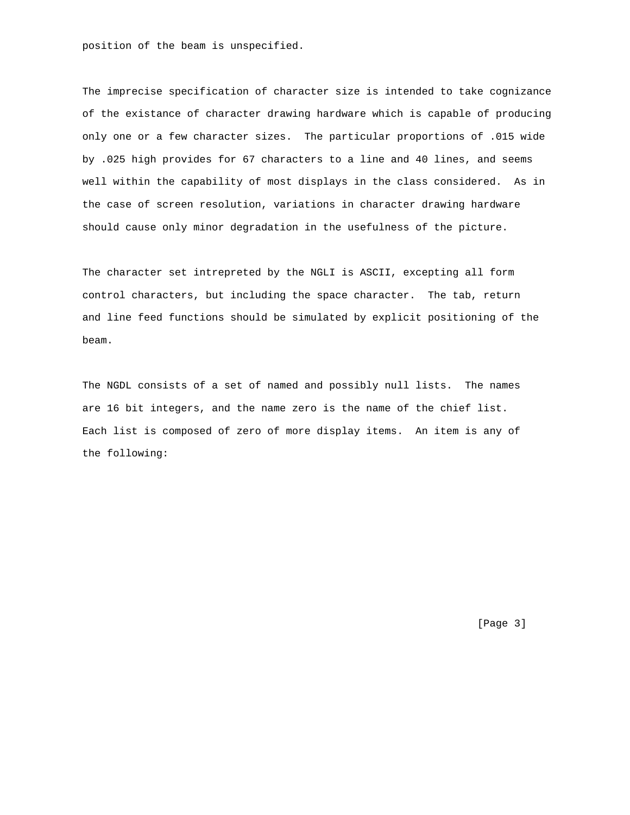position of the beam is unspecified.

The imprecise specification of character size is intended to take cognizance of the existance of character drawing hardware which is capable of producing only one or a few character sizes. The particular proportions of .015 wide by .025 high provides for 67 characters to a line and 40 lines, and seems well within the capability of most displays in the class considered. As in the case of screen resolution, variations in character drawing hardware should cause only minor degradation in the usefulness of the picture.

The character set intrepreted by the NGLI is ASCII, excepting all form control characters, but including the space character. The tab, return and line feed functions should be simulated by explicit positioning of the beam.

The NGDL consists of a set of named and possibly null lists. The names are 16 bit integers, and the name zero is the name of the chief list. Each list is composed of zero of more display items. An item is any of the following:

[Page 3]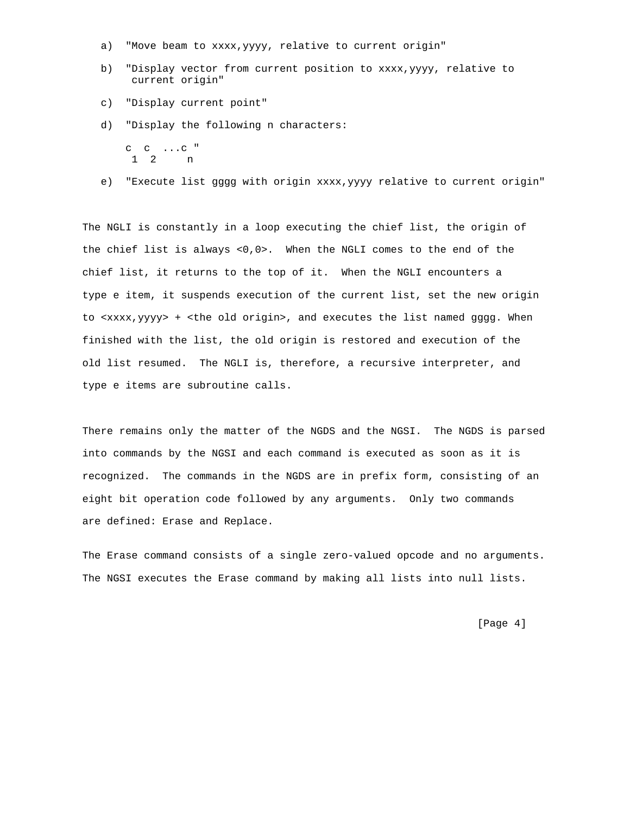- a) "Move beam to xxxx, yyyy, relative to current origin"
- b) "Display vector from current position to xxxx,yyyy, relative to current origin"
- c) "Display current point"
- d) "Display the following n characters:
	- c c ...c " 1 2 n
- e) "Execute list gggg with origin xxxx,yyyy relative to current origin"

The NGLI is constantly in a loop executing the chief list, the origin of the chief list is always <0,0>. When the NGLI comes to the end of the chief list, it returns to the top of it. When the NGLI encounters a type e item, it suspends execution of the current list, set the new origin to <xxxx,yyyy> + <the old origin>, and executes the list named gggg. When finished with the list, the old origin is restored and execution of the old list resumed. The NGLI is, therefore, a recursive interpreter, and type e items are subroutine calls.

There remains only the matter of the NGDS and the NGSI. The NGDS is parsed into commands by the NGSI and each command is executed as soon as it is recognized. The commands in the NGDS are in prefix form, consisting of an eight bit operation code followed by any arguments. Only two commands are defined: Erase and Replace.

The Erase command consists of a single zero-valued opcode and no arguments. The NGSI executes the Erase command by making all lists into null lists.

[Page 4]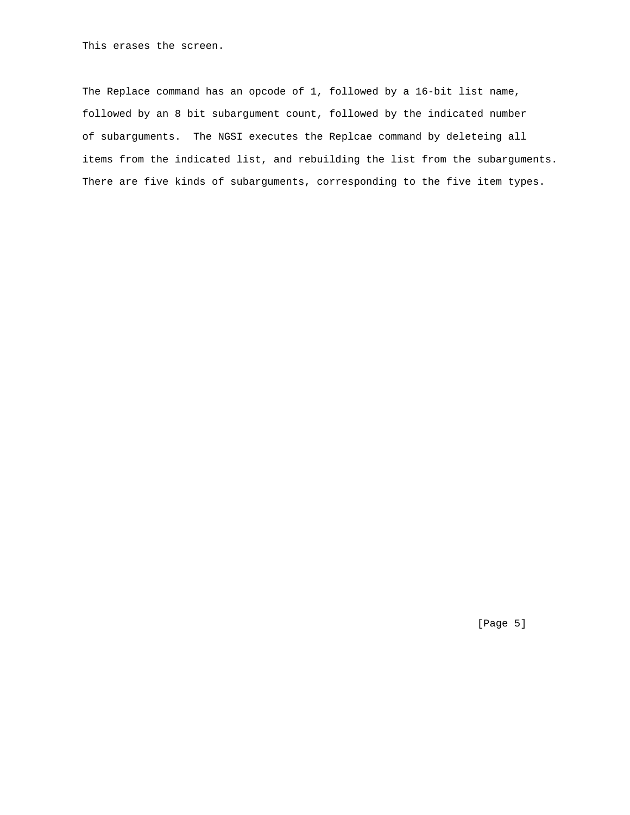This erases the screen.

The Replace command has an opcode of 1, followed by a 16-bit list name, followed by an 8 bit subargument count, followed by the indicated number of subarguments. The NGSI executes the Replcae command by deleteing all items from the indicated list, and rebuilding the list from the subarguments. There are five kinds of subarguments, corresponding to the five item types.

[Page 5]